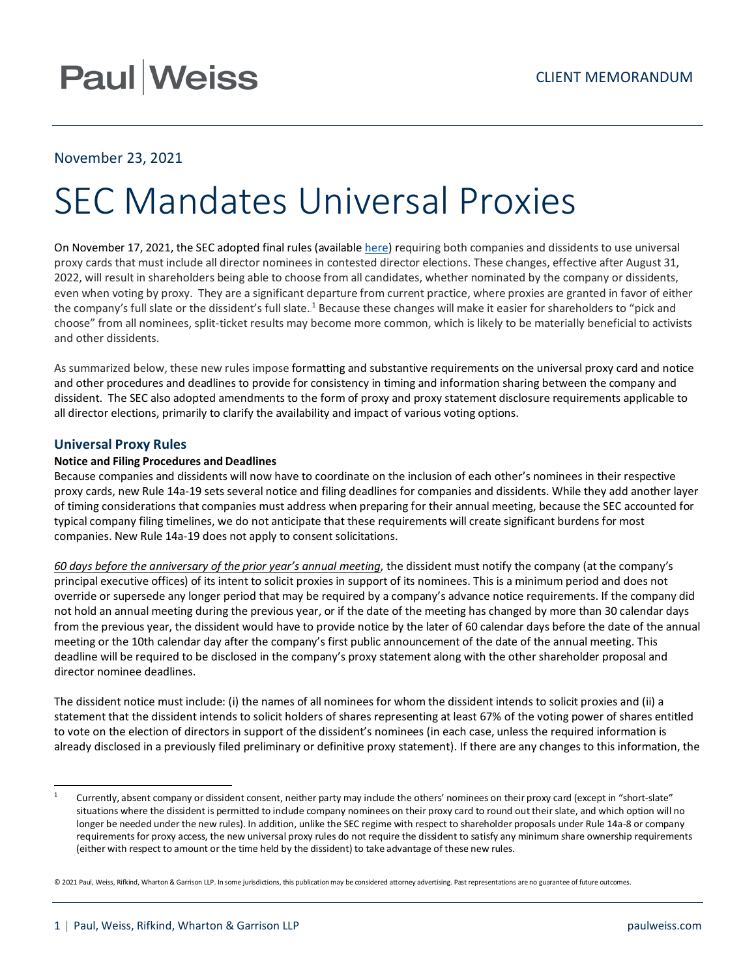# **Paul Weiss**

## November 23, 2021

# SEC Mandates Universal Proxies

On November 17, 2021, the SEC adopted final rules (available [here\)](https://www.sec.gov/rules/final/2021/34-93596.pdf) requiring both companies and dissidents to use universal proxy cards that must include all director nominees in contested director elections. These changes, effective after August 31, 2022, will result in shareholders being able to choose from all candidates, whether nominated by the company or dissidents, even when voting by proxy. They are a significant departure from current practice, where proxies are granted in favor of either the company's full slate or the dissident's full slate.<sup>1</sup> Because these changes will make it easier for shareholders to "pick and choose" from all nominees, split-ticket results may become more common, which is likely to be materially beneficial to activists and other dissidents.

As summarized below, these new rules impose formatting and substantive requirements on the universal proxy card and notice and other procedures and deadlines to provide for consistency in timing and information sharing between the company and dissident. The SEC also adopted amendments to the form of proxy and proxy statement disclosure requirements applicable to all director elections, primarily to clarify the availability and impact of various voting options.

## **Universal Proxy Rules**

## **Notice and Filing Procedures and Deadlines**

Because companies and dissidents will now have to coordinate on the inclusion of each other's nominees in their respective proxy cards, new Rule 14a-19 sets several notice and filing deadlines for companies and dissidents. While they add another layer of timing considerations that companies must address when preparing for their annual meeting, because the SEC accounted for typical company filing timelines, we do not anticipate that these requirements will create significant burdens for most companies. New Rule 14a-19 does not apply to consent solicitations.

*60 days before the anniversary of the prior year's annual meeting*, the dissident must notify the company (at the company's principal executive offices) of its intent to solicit proxies in support of its nominees. This is a minimum period and does not override or supersede any longer period that may be required by a company's advance notice requirements. If the company did not hold an annual meeting during the previous year, or if the date of the meeting has changed by more than 30 calendar days from the previous year, the dissident would have to provide notice by the later of 60 calendar days before the date of the annual meeting or the 10th calendar day after the company's first public announcement of the date of the annual meeting. This deadline will be required to be disclosed in the company's proxy statement along with the other shareholder proposal and director nominee deadlines.

The dissident notice must include: (i) the names of all nominees for whom the dissident intends to solicit proxies and (ii) a statement that the dissident intends to solicit holders of shares representing at least 67% of the voting power of shares entitled to vote on the election of directors in support of the dissident's nominees (in each case, unless the required information is already disclosed in a previously filed preliminary or definitive proxy statement). If there are any changes to this information, the

Currently, absent company or dissident consent, neither party may include the others' nominees on their proxy card (except in "short-slate" situations where the dissident is permitted to include company nominees on their proxy card to round out their slate, and which option will no longer be needed under the new rules). In addition, unlike the SEC regime with respect to shareholder proposals under Rule 14a-8 or company requirements for proxy access, the new universal proxy rules do not require the dissident to satisfy any minimum share ownership requirements (either with respect to amount or the time held by the dissident) to take advantage of these new rules.

<sup>© 2021</sup> Paul, Weiss, Rifkind, Wharton & Garrison LLP. In some jurisdictions, this publication may be considered attorney advertising. Past representations are no guarantee of future outcomes.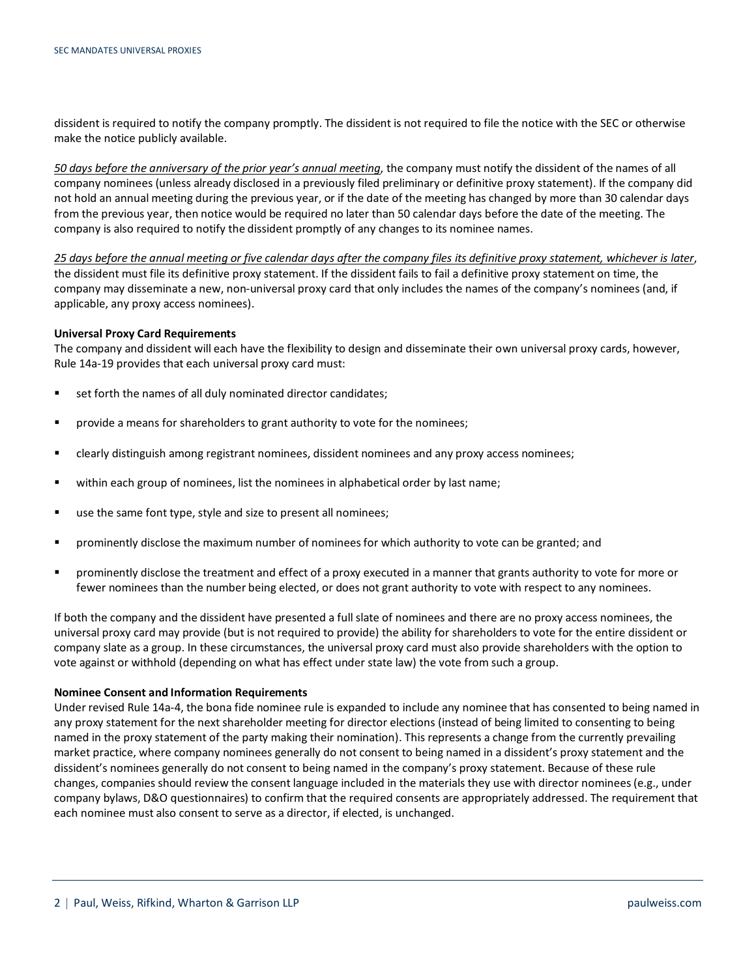dissident is required to notify the company promptly. The dissident is not required to file the notice with the SEC or otherwise make the notice publicly available.

*50 days before the anniversary of the prior year's annual meeting*, the company must notify the dissident of the names of all company nominees (unless already disclosed in a previously filed preliminary or definitive proxy statement). If the company did not hold an annual meeting during the previous year, or if the date of the meeting has changed by more than 30 calendar days from the previous year, then notice would be required no later than 50 calendar days before the date of the meeting. The company is also required to notify the dissident promptly of any changes to its nominee names.

*25 days before the annual meeting or five calendar days after the company files its definitive proxy statement, whichever is later*, the dissident must file its definitive proxy statement. If the dissident fails to fail a definitive proxy statement on time, the company may disseminate a new, non-universal proxy card that only includes the names of the company's nominees (and, if applicable, any proxy access nominees).

#### **Universal Proxy Card Requirements**

The company and dissident will each have the flexibility to design and disseminate their own universal proxy cards, however, Rule 14a-19 provides that each universal proxy card must:

- set forth the names of all duly nominated director candidates;
- **PED FORM** Trovide a means for shareholders to grant authority to vote for the nominees;
- clearly distinguish among registrant nominees, dissident nominees and any proxy access nominees;
- within each group of nominees, list the nominees in alphabetical order by last name;
- use the same font type, style and size to present all nominees;
- prominently disclose the maximum number of nominees for which authority to vote can be granted; and
- prominently disclose the treatment and effect of a proxy executed in a manner that grants authority to vote for more or fewer nominees than the number being elected, or does not grant authority to vote with respect to any nominees.

If both the company and the dissident have presented a full slate of nominees and there are no proxy access nominees, the universal proxy card may provide (but is not required to provide) the ability for shareholders to vote for the entire dissident or company slate as a group. In these circumstances, the universal proxy card must also provide shareholders with the option to vote against or withhold (depending on what has effect under state law) the vote from such a group.

#### **Nominee Consent and Information Requirements**

Under revised Rule 14a-4, the bona fide nominee rule is expanded to include any nominee that has consented to being named in any proxy statement for the next shareholder meeting for director elections (instead of being limited to consenting to being named in the proxy statement of the party making their nomination). This represents a change from the currently prevailing market practice, where company nominees generally do not consent to being named in a dissident's proxy statement and the dissident's nominees generally do not consent to being named in the company's proxy statement. Because of these rule changes, companies should review the consent language included in the materials they use with director nominees (e.g., under company bylaws, D&O questionnaires) to confirm that the required consents are appropriately addressed. The requirement that each nominee must also consent to serve as a director, if elected, is unchanged.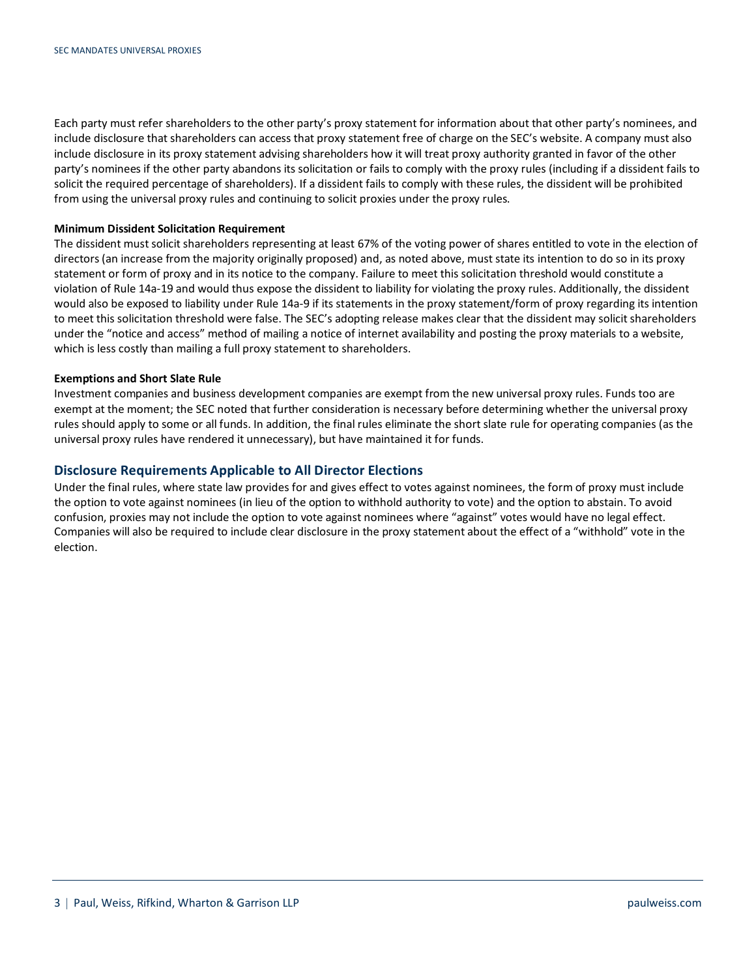Each party must refer shareholders to the other party's proxy statement for information about that other party's nominees, and include disclosure that shareholders can access that proxy statement free of charge on the SEC's website. A company must also include disclosure in its proxy statement advising shareholders how it will treat proxy authority granted in favor of the other party's nominees if the other party abandons its solicitation or fails to comply with the proxy rules (including if a dissident fails to solicit the required percentage of shareholders). If a dissident fails to comply with these rules, the dissident will be prohibited from using the universal proxy rules and continuing to solicit proxies under the proxy rules.

#### **Minimum Dissident Solicitation Requirement**

The dissident must solicit shareholders representing at least 67% of the voting power of shares entitled to vote in the election of directors (an increase from the majority originally proposed) and, as noted above, must state its intention to do so in its proxy statement or form of proxy and in its notice to the company. Failure to meet this solicitation threshold would constitute a violation of Rule 14a-19 and would thus expose the dissident to liability for violating the proxy rules. Additionally, the dissident would also be exposed to liability under Rule 14a-9 if its statements in the proxy statement/form of proxy regarding its intention to meet this solicitation threshold were false. The SEC's adopting release makes clear that the dissident may solicit shareholders under the "notice and access" method of mailing a notice of internet availability and posting the proxy materials to a website, which is less costly than mailing a full proxy statement to shareholders.

### **Exemptions and Short Slate Rule**

Investment companies and business development companies are exempt from the new universal proxy rules. Funds too are exempt at the moment; the SEC noted that further consideration is necessary before determining whether the universal proxy rules should apply to some or all funds. In addition, the final rules eliminate the short slate rule for operating companies (as the universal proxy rules have rendered it unnecessary), but have maintained it for funds.

### **Disclosure Requirements Applicable to All Director Elections**

Under the final rules, where state law provides for and gives effect to votes against nominees, the form of proxy must include the option to vote against nominees (in lieu of the option to withhold authority to vote) and the option to abstain. To avoid confusion, proxies may not include the option to vote against nominees where "against" votes would have no legal effect. Companies will also be required to include clear disclosure in the proxy statement about the effect of a "withhold" vote in the election.